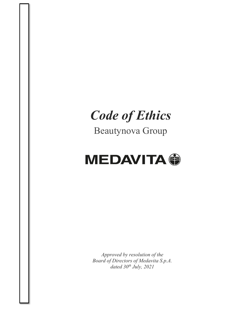# *Code of Ethics*

Beautynova Group



*Approved by resolution of the Board of Directors of Medavita S.p.A. dated 30th July, 2021*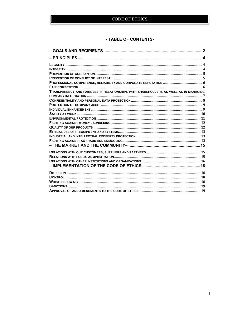# - TABLE OF CONTENTS-

| TRANSPARENCY AND FAIRNESS IN RELATIONSHIPS WITH SHAREHOLDERS AS WELL AS IN MANAGING |  |
|-------------------------------------------------------------------------------------|--|
|                                                                                     |  |
|                                                                                     |  |
|                                                                                     |  |
|                                                                                     |  |
|                                                                                     |  |
|                                                                                     |  |
|                                                                                     |  |
|                                                                                     |  |
|                                                                                     |  |
|                                                                                     |  |
|                                                                                     |  |
|                                                                                     |  |
|                                                                                     |  |
|                                                                                     |  |
|                                                                                     |  |
|                                                                                     |  |
|                                                                                     |  |
|                                                                                     |  |
|                                                                                     |  |
|                                                                                     |  |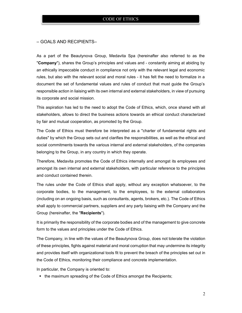## – GOALS AND RECIPIENTS–

As a part of the Beautynova Group, Medavita Spa (hereinafter also referred to as the "**Company**"), shares the Group's principles and values and - constantly aiming at abiding by an ethically impeccable conduct in compliance not only with the relevant legal and economic rules, but also with the relevant social and moral rules - it has felt the need to formalize in a document the set of fundamental values and rules of conduct that must guide the Group's responsible action in liaising with its own internal and external stakeholders, in view of pursuing its corporate and social mission.

This aspiration has led to the need to adopt the Code of Ethics, which, once shared with all stakeholders, allows to direct the business actions towards an ethical conduct characterized by fair and mutual cooperation, as promoted by the Group.

The Code of Ethics must therefore be interpreted as a "charter of fundamental rights and duties" by which the Group sets out and clarifies the responsibilities, as well as the ethical and social commitments towards the various internal and external stakeholders, of the companies belonging to the Group, in any country in which they operate.

Therefore, Medavita promotes the Code of Ethics internally and amongst its employees and amongst its own internal and external stakeholders, with particular reference to the principles and conduct contained therein.

The rules under the Code of Ethics shall apply, without any exception whatsoever, to the corporate bodies, to the management, to the employees, to the external collaborators (including on an ongoing basis, such as consultants, agents, brokers, etc.). The Code of Ethics shall apply to commercial partners, suppliers and any party liaising with the Company and the Group (hereinafter, the "**Recipients**").

It is primarily the responsibility of the corporate bodies and of the management to give concrete form to the values and principles under the Code of Ethics.

The Company, in line with the values of the Beautynova Group, does not tolerate the violation of these principles, fights against material and moral corruption that may undermine its integrity and provides itself with organizational tools fit to prevent the breach of the principles set out in the Code of Ethics, monitoring their compliance and concrete implementation.

In particular, the Company is oriented to:

• the maximum spreading of the Code of Ethics amongst the Recipients;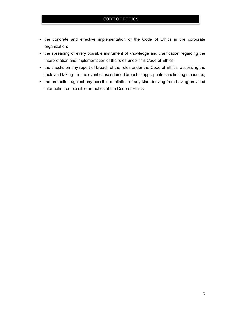- the concrete and effective implementation of the Code of Ethics in the corporate organization;
- the spreading of every possible instrument of knowledge and clarification regarding the interpretation and implementation of the rules under this Code of Ethics;
- the checks on any report of breach of the rules under the Code of Ethics, assessing the facts and taking – in the event of ascertained breach – appropriate sanctioning measures;
- the protection against any possible retaliation of any kind deriving from having provided information on possible breaches of the Code of Ethics.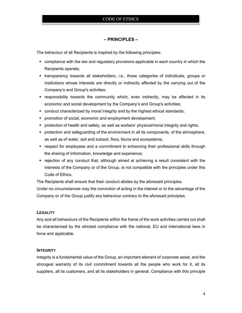# **– PRINCIPLES –**

The behaviour of all Recipients is inspired by the following principles:

- compliance with the law and regulatory provisions applicable in each country in which the Recipients operate;
- transparency towards all stakeholders, i.e., those categories of individuals, groups or institutions whose interests are directly or indirectly affected by the carrying out of the Company's and Group's activities;
- responsibility towards the community which, even indirectly, may be affected in its economic and social development by the Company's and Group's activities;
- conduct characterized by moral integrity and by the highest ethical standards;
- **PED PROMOTE:** promotion of social, economic and employment development;
- protection of health and safety, as well as workers' physical/moral integrity and rights;
- **•** protection and safeguarding of the environment in all its components, of the atmosphere, as well as of water, soil and subsoil, flora, fauna and ecosystems;
- respect for employees and a commitment to enhancing their professional skills through the sharing of information, knowledge and experience;
- rejection of any conduct that, although aimed at achieving a result consistent with the interests of the Company or of the Group, is not compatible with the principles under this Code of Ethics.

The Recipients shall ensure that their conduct abides by the aforesaid principles.

Under no circumstances may the conviction of acting in the interest or to the advantage of the Company or of the Group justify any behaviour contrary to the aforesaid principles.

#### **LEGALITY**

Any and all behaviours of the Recipients within the frame of the work activities carried out shall be characterized by the strictest compliance with the national, EU and international laws in force and applicable.

#### **INTEGRITY**

Integrity is a fundamental value of the Group, an important element of corporate asset, and the strongest warranty of its civil commitment towards all the people who work for it, all its suppliers, all its customers, and all its stakeholders in general. Compliance with this principle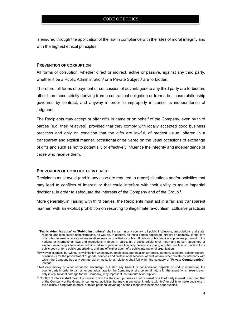is ensured through the application of the law in compliance with the rules of moral integrity and with the highest ethical principles.

# **PREVENTION OF CORRUPTION**

All forms of corruption, whether direct or indirect, active or passive, against any third party, whether it be a Public Administration<sup>1</sup> or a Private Subject<sup>2</sup> are forbidden.

Therefore, all forms of payment or concession of advantages<sup>3</sup> to any third party are forbidden, other than those strictly deriving from a contractual obligation or from a business relationship governed by contract, and anyway in order to improperly influence its independence of judgment.

The Recipients may accept or offer gifts in name or on behalf of the Company, even by third parties (e.g. their relatives), provided that they comply with locally accepted good business practices and only on condition that the gifts are lawful, of modest value, offered in a transparent and explicit manner, occasional or delivered on the usual occasions of exchange of gifts and such as not to potentially or effectively influence the integrity and independence of those who receive them.

#### **PREVENTION OF CONFLICT OF INTEREST**

Recipients must avoid (and in any case are required to report) situations and/or activities that may lead to conflicts of interest or that could interfere with their ability to make impartial decisions, in order to safeguard the interests of the Company and of the Group 4.

More generally, in liaising with third parties, the Recipients must act in a fair and transparent manner, with an explicit prohibition on resorting to illegitimate favouritism, collusive practices

<sup>1</sup> "**Public Administration**" or "**Public Institutions**" shall mean, in any country, all public institutions, associations and state, regional and local public administrations, as well as, in general, all those parties appointed, directly or indirectly, to the care of a public interest or whose representatives may be qualified as public officials or public service appointees pursuant to the national or international laws and regulations in force. In particular, a public official shall mean any person, appointed or elected, exercising a legislative, administrative or judicial function, any person exercising a public function or function for a public body or for a public undertaking, and any official or agent of a public international organization.

 $^2$  By way of example, but without any limitation whatsoever, employees, (potential or current) customers, suppliers, subcontractors, consultants for the procurement of goods, services and professional services, as well as any other private counterparty with which the Company has any commercial or institutional relations shall fall within the category of "**Private Counterparties**", instead.

<sup>&</sup>lt;sup>3</sup> Not only money or other economic advantage, but also any benefit or consideration capable of unduly influencing the counterparty in order to gain an undue advantage for the Company or of a personal nature for the agent (which results even only in reputational damage for the Company) may represent instruments of corruption.

<sup>(4)</sup> Conflict of interest shall mean the case in which the Recipient pursues an own interest or a third party interest other than that of the Company or the Group, or carries out activities that may, in any case, interfere with his/her ability to make decisions in the exclusive corporate interest, or takes personal advantage of their respective business opportunities.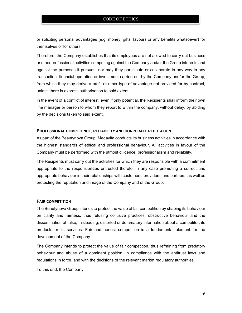or soliciting personal advantages (e.g. money, gifts, favours or any benefits whatsoever) for themselves or for others.

Therefore, the Company establishes that its employees are not allowed to carry out business or other professional activities competing against the Company and/or the Group interests and against the purposes it pursues, nor may they participate or collaborate in any way in any transaction, financial operation or investment carried out by the Company and/or the Group, from which they may derive a profit or other type of advantage not provided for by contract, unless there is express authorisation to said extent.

In the event of a conflict of interest, even if only potential, the Recipients shall inform their own line manager or person to whom they report to within the company, without delay, by abiding by the decisions taken to said extent.

#### **PROFESSIONAL COMPETENCE, RELIABILITY AND CORPORATE REPUTATION**

As part of the Beautynova Group, Medavita conducts its business activities in accordance with the highest standards of ethical and professional behaviour. All activities in favour of the Company must be performed with the utmost diligence, professionalism and reliability.

The Recipients must carry out the activities for which they are responsible with a commitment appropriate to the responsibilities entrusted thereto, in any case promoting a correct and appropriate behaviour in their relationships with customers, providers, and partners, as well as protecting the reputation and image of the Company and of the Group.

#### **FAIR COMPETITION**

The Beautynova Group intends to protect the value of fair competition by shaping its behaviour on clarity and fairness, thus refusing collusive practices, obstructive behaviour and the dissemination of false, misleading, distorted or defamatory information about a competitor, its products or its services. Fair and honest competition is a fundamental element for the development of the Company.

The Company intends to protect the value of fair competition, thus refraining from predatory behaviour and abuse of a dominant position, in compliance with the antitrust laws and regulations in force, and with the decisions of the relevant market regulatory authorities.

To this end, the Company: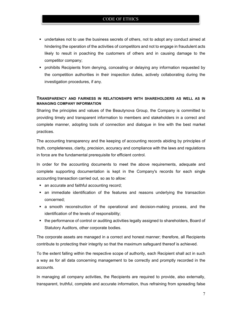- undertakes not to use the business secrets of others, not to adopt any conduct aimed at hindering the operation of the activities of competitors and not to engage in fraudulent acts likely to result in poaching the customers of others and in causing damage to the competitor company;
- **•** prohibits Recipients from denying, concealing or delaying any information requested by the competition authorities in their inspection duties, actively collaborating during the investigation procedures, if any.

# **TRANSPARENCY AND FAIRNESS IN RELATIONSHIPS WITH SHAREHOLDERS AS WELL AS IN MANAGING COMPANY INFORMATION**

Sharing the principles and values of the Beautynova Group, the Company is committed to providing timely and transparent information to members and stakeholders in a correct and complete manner, adopting tools of connection and dialogue in line with the best market practices.

The accounting transparency and the keeping of accounting records abiding by principles of truth, completeness, clarity, precision, accuracy and compliance with the laws and regulations in force are the fundamental prerequisite for efficient control.

In order for the accounting documents to meet the above requirements, adequate and complete supporting documentation is kept in the Company's records for each single accounting transaction carried out, so as to allow:

- an accurate and faithful accounting record;
- an immediate identification of the features and reasons underlying the transaction concerned;
- **a** smooth reconstruction of the operational and decision-making process, and the identification of the levels of responsibility;
- the performance of control or auditing activities legally assigned to shareholders, Board of Statutory Auditors, other corporate bodies.

The corporate assets are managed in a correct and honest manner; therefore, all Recipients contribute to protecting their integrity so that the maximum safeguard thereof is achieved.

To the extent falling within the respective scope of authority, each Recipient shall act in such a way as for all data concerning management to be correctly and promptly recorded in the accounts.

In managing all company activities, the Recipients are required to provide, also externally, transparent, truthful, complete and accurate information, thus refraining from spreading false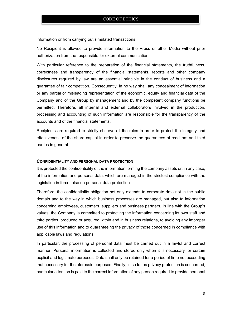information or from carrying out simulated transactions.

No Recipient is allowed to provide information to the Press or other Media without prior authorization from the responsible for external communication.

With particular reference to the preparation of the financial statements, the truthfulness, correctness and transparency of the financial statements, reports and other company disclosures required by law are an essential principle in the conduct of business and a guarantee of fair competition. Consequently, in no way shall any concealment of information or any partial or misleading representation of the economic, equity and financial data of the Company and of the Group by management and by the competent company functions be permitted. Therefore, all internal and external collaborators involved in the production, processing and accounting of such information are responsible for the transparency of the accounts and of the financial statements.

Recipients are required to strictly observe all the rules in order to protect the integrity and effectiveness of the share capital in order to preserve the guarantees of creditors and third parties in general.

#### **CONFIDENTIALITY AND PERSONAL DATA PROTECTION**

It is protected the confidentiality of the information forming the company assets or, in any case, of the information and personal data, which are managed in the strictest compliance with the legislation in force, also on personal data protection.

Therefore, the confidentiality obligation not only extends to corporate data not in the public domain and to the way in which business processes are managed, but also to information concerning employees, customers, suppliers and business partners. In line with the Group's values, the Company is committed to protecting the information concerning its own staff and third parties, produced or acquired within and in business relations, to avoiding any improper use of this information and to guaranteeing the privacy of those concerned in compliance with applicable laws and regulations.

In particular, the processing of personal data must be carried out in a lawful and correct manner. Personal information is collected and stored only when it is necessary for certain explicit and legitimate purposes. Data shall only be retained for a period of time not exceeding that necessary for the aforesaid purposes. Finally, in so far as privacy protection is concerned, particular attention is paid to the correct information of any person required to provide personal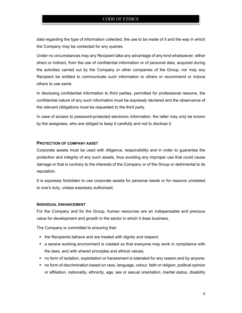data regarding the type of information collected, the use to be made of it and the way in which the Company may be contacted for any queries.

Under no circumstances may any Recipient take any advantage of any kind whatsoever, either direct or indirect, from the use of confidential information or of personal data, acquired during the activities carried out by the Company or other companies of the Group, nor may any Recipient be entitled to communicate such information to others or recommend or induce others to use same.

In disclosing confidential information to third parties, permitted for professional reasons, the confidential nature of any such information must be expressly declared and the observance of the relevant obligations must be requested to the third party.

In case of access to password-protected electronic information, the latter may only be known by the assignees, who are obliged to keep it carefully and not to disclose it.

## **PROTECTION OF COMPANY ASSET**

Corporate assets must be used with diligence, responsibility and in order to guarantee the protection and integrity of any such assets, thus avoiding any improper use that could cause damage or that is contrary to the interests of the Company or of the Group or detrimental to its reputation.

It is expressly forbidden to use corporate assets for personal needs or for reasons unrelated to one's duty, unless expressly authorized.

#### **INDIVIDUAL ENHANCEMENT**

For the Company and for the Group, human resources are an indispensable and precious value for development and growth in the sector in which it does business.

The Company is committed to ensuring that:

- the Recipients behave and are treated with dignity and respect;
- a serene working environment is created so that everyone may work in compliance with the laws, and with shared principles and ethical values;
- no form of isolation, exploitation or harassment is tolerated for any reason and by anyone;
- no form of discrimination based on race, language, colour, faith or religion, political opinion or affiliation, nationality, ethnicity, age, sex or sexual orientation, marital status, disability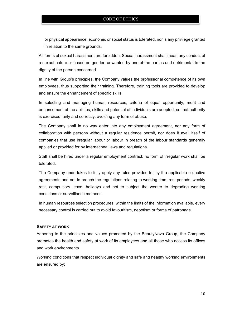or physical appearance, economic or social status is tolerated, nor is any privilege granted in relation to the same grounds.

All forms of sexual harassment are forbidden. Sexual harassment shall mean any conduct of a sexual nature or based on gender, unwanted by one of the parties and detrimental to the dignity of the person concerned.

In line with Group's principles, the Company values the professional competence of its own employees, thus supporting their training. Therefore, training tools are provided to develop and ensure the enhancement of specific skills.

In selecting and managing human resources, criteria of equal opportunity, merit and enhancement of the abilities, skills and potential of individuals are adopted, so that authority is exercised fairly and correctly, avoiding any form of abuse.

The Company shall in no way enter into any employment agreement, nor any form of collaboration with persons without a regular residence permit, nor does it avail itself of companies that use irregular labour or labour in breach of the labour standards generally applied or provided for by international laws and regulations.

Staff shall be hired under a regular employment contract; no form of irregular work shall be tolerated.

The Company undertakes to fully apply any rules provided for by the applicable collective agreements and not to breach the regulations relating to working time, rest periods, weekly rest, compulsory leave, holidays and not to subject the worker to degrading working conditions or surveillance methods.

In human resources selection procedures, within the limits of the information available, every necessary control is carried out to avoid favouritism, nepotism or forms of patronage.

# **SAFETY AT WORK**

Adhering to the principles and values promoted by the BeautyNova Group, the Company promotes the health and safety at work of its employees and all those who access its offices and work environments.

Working conditions that respect individual dignity and safe and healthy working environments are ensured by: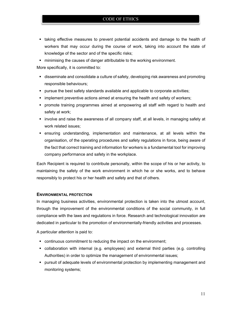- taking effective measures to prevent potential accidents and damage to the health of workers that may occur during the course of work, taking into account the state of knowledge of the sector and of the specific risks;
- minimising the causes of danger attributable to the working environment.

More specifically, it is committed to:

- disseminate and consolidate a culture of safety, developing risk awareness and promoting responsible behaviours;
- pursue the best safety standards available and applicable to corporate activities;
- **Inmall implement preventive actions aimed at ensuring the health and safety of workers;**
- promote training programmes aimed at empowering all staff with regard to health and safety at work;
- **•** involve and raise the awareness of all company staff, at all levels, in managing safety at work related issues;
- ensuring understanding, implementation and maintenance, at all levels within the organisation, of the operating procedures and safety regulations in force, being aware of the fact that correct training and information for workers is a fundamental tool for improving company performance and safety in the workplace.

Each Recipient is required to contribute personally, within the scope of his or her activity, to maintaining the safety of the work environment in which he or she works, and to behave responsibly to protect his or her health and safety and that of others.

# **ENVIRONMENTAL PROTECTION**

In managing business activities, environmental protection is taken into the utmost account, through the improvement of the environmental conditions of the social community, in full compliance with the laws and regulations in force. Research and technological innovation are dedicated in particular to the promotion of environmentally-friendly activities and processes.

A particular attention is paid to:

- continuous commitment to reducing the impact on the environment;
- collaboration with internal (e.g. employees) and external third parties (e.g. controlling Authorities) in order to optimize the management of environmental issues;
- **•** pursuit of adequate levels of environmental protection by implementing management and monitoring systems;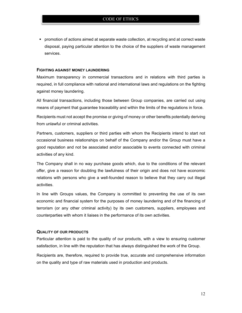**Promotion of actions aimed at separate waste collection, at recycling and at correct waste** disposal, paying particular attention to the choice of the suppliers of waste management services.

#### **FIGHTING AGAINST MONEY LAUNDERING**

Maximum transparency in commercial transactions and in relations with third parties is required, in full compliance with national and international laws and regulations on the fighting against money laundering.

All financial transactions, including those between Group companies, are carried out using means of payment that guarantee traceability and within the limits of the regulations in force.

Recipients must not accept the promise or giving of money or other benefits potentially deriving from unlawful or criminal activities.

Partners, customers, suppliers or third parties with whom the Recipients intend to start not occasional business relationships on behalf of the Company and/or the Group must have a good reputation and not be associated and/or associable to events connected with criminal activities of any kind.

The Company shall in no way purchase goods which, due to the conditions of the relevant offer, give a reason for doubting the lawfulness of their origin and does not have economic relations with persons who give a well-founded reason to believe that they carry out illegal activities.

In line with Groups values, the Company is committed to preventing the use of its own economic and financial system for the purposes of money laundering and of the financing of terrorism (or any other criminal activity) by its own customers, suppliers, employees and counterparties with whom it liaises in the performance of its own activities.

#### **QUALITY OF OUR PRODUCTS**

Particular attention is paid to the quality of our products, with a view to ensuring customer satisfaction, in line with the reputation that has always distinguished the work of the Group.

Recipients are, therefore, required to provide true, accurate and comprehensive information on the quality and type of raw materials used in production and products.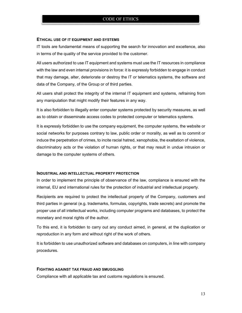#### **ETHICAL USE OF IT EQUIPMENT AND SYSTEMS**

IT tools are fundamental means of supporting the search for innovation and excellence, also in terms of the quality of the service provided to the customer.

All users authorized to use IT equipment and systems must use the IT resources in compliance with the law and even internal provisions in force: it is expressly forbidden to engage in conduct that may damage, alter, deteriorate or destroy the IT or telematics systems, the software and data of the Company, of the Group or of third parties.

All users shall protect the integrity of the internal IT equipment and systems, refraining from any manipulation that might modify their features in any way.

It is also forbidden to illegally enter computer systems protected by security measures, as well as to obtain or disseminate access codes to protected computer or telematics systems.

It is expressly forbidden to use the company equipment, the computer systems, the website or social networks for purposes contrary to law, public order or morality, as well as to commit or induce the perpetration of crimes, to incite racial hatred, xenophobia, the exaltation of violence, discriminatory acts or the violation of human rights, or that may result in undue intrusion or damage to the computer systems of others.

#### **INDUSTRIAL AND INTELLECTUAL PROPERTY PROTECTION**

In order to implement the principle of observance of the law, compliance is ensured with the internal, EU and international rules for the protection of industrial and intellectual property.

Recipients are required to protect the intellectual property of the Company, customers and third parties in general (e.g. trademarks, formulas, copyrights, trade secrets) and promote the proper use of all intellectual works, including computer programs and databases, to protect the monetary and moral rights of the author.

To this end, it is forbidden to carry out any conduct aimed, in general, at the duplication or reproduction in any form and without right of the work of others.

It is forbidden to use unauthorized software and databases on computers, in line with company procedures.

#### **FIGHTING AGAINST TAX FRAUD AND SMUGGLING**

Compliance with all applicable tax and customs regulations is ensured.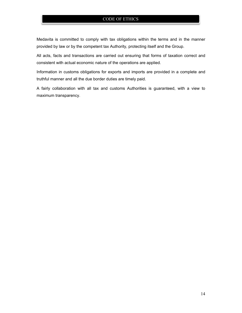Medavita is committed to comply with tax obligations within the terms and in the manner provided by law or by the competent tax Authority, protecting itself and the Group.

All acts, facts and transactions are carried out ensuring that forms of taxation correct and consistent with actual economic nature of the operations are applied.

Information in customs obligations for exports and imports are provided in a complete and truthful manner and all the due border duties are timely paid.

A fairly collaboration with all tax and customs Authorities is guaranteed, with a view to maximum transparency.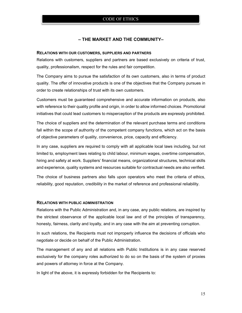# **– THE MARKET AND THE COMMUNITY–**

#### **RELATIONS WITH OUR CUSTOMERS, SUPPLIERS AND PARTNERS**

Relations with customers, suppliers and partners are based exclusively on criteria of trust, quality, professionalism, respect for the rules and fair competition.

The Company aims to pursue the satisfaction of its own customers, also in terms of product quality. The offer of innovative products is one of the objectives that the Company pursues in order to create relationships of trust with its own customers.

Customers must be guaranteed comprehensive and accurate information on products, also with reference to their quality profile and origin, in order to allow informed choices. Promotional initiatives that could lead customers to misperception of the products are expressly prohibited.

The choice of suppliers and the determination of the relevant purchase terms and conditions fall within the scope of authority of the competent company functions, which act on the basis of objective parameters of quality, convenience, price, capacity and efficiency.

In any case, suppliers are required to comply with all applicable local laws including, but not limited to, employment laws relating to child labour, minimum wages, overtime compensation, hiring and safety at work. Suppliers' financial means, organizational structures, technical skills and experience, quality systems and resources suitable for contractual needs are also verified.

The choice of business partners also falls upon operators who meet the criteria of ethics, reliability, good reputation, credibility in the market of reference and professional reliability.

#### **RELATIONS WITH PUBLIC ADMINISTRATION**

Relations with the Public Administration and, in any case, any public relations, are inspired by the strictest observance of the applicable local law and of the principles of transparency, honesty, fairness, clarity and loyalty, and in any case with the aim at preventing corruption.

In such relations, the Recipients must not improperly influence the decisions of officials who negotiate or decide on behalf of the Public Administration.

The management of any and all relations with Public Institutions is in any case reserved exclusively for the company roles authorized to do so on the basis of the system of proxies and powers of attorney in force at the Company.

In light of the above, it is expressly forbidden for the Recipients to: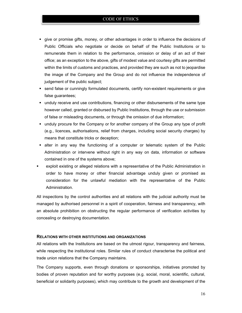- give or promise gifts, money, or other advantages in order to influence the decisions of Public Officials who negotiate or decide on behalf of the Public Institutions or to remunerate them in relation to the performance, omission or delay of an act of their office; as an exception to the above, gifts of modest value and courtesy gifts are permitted within the limits of customs and practices, and provided they are such as not to jeopardise the image of the Company and the Group and do not influence the independence of judgement of the public subject;
- **send false or cunningly formulated documents, certify non-existent requirements or give** false guarantees;
- unduly receive and use contributions, financing or other disbursements of the same type however called, granted or disbursed by Public Institutions, through the use or submission of false or misleading documents, or through the omission of due information;
- unduly procure for the Company or for another company of the Group any type of profit (e.g., licences, authorisations, relief from charges, including social security charges) by means that constitute tricks or deception;
- **Example 1** alter in any way the functioning of a computer or telematic system of the Public Administration or intervene without right in any way on data, information or software contained in one of the systems above;
- exploit existing or alleged relations with a representative of the Public Administration in order to have money or other financial advantage unduly given or promised as consideration for the unlawful mediation with the representative of the Public Administration.

All inspections by the control authorities and all relations with the judicial authority must be managed by authorised personnel in a spirit of cooperation, fairness and transparency, with an absolute prohibition on obstructing the regular performance of verification activities by concealing or destroying documentation.

#### **RELATIONS WITH OTHER INSTITUTIONS AND ORGANIZATIONS**

All relations with the Institutions are based on the utmost rigour, transparency and fairness, while respecting the institutional roles. Similar rules of conduct characterise the political and trade union relations that the Company maintains.

The Company supports, even through donations or sponsorships, initiatives promoted by bodies of proven reputation and for worthy purposes (e.g. social, moral, scientific, cultural, beneficial or solidarity purposes), which may contribute to the growth and development of the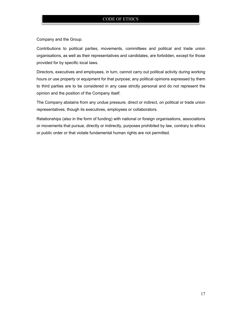Company and the Group.

Contributions to political parties, movements, committees and political and trade union organisations, as well as their representatives and candidates, are forbidden, except for those provided for by specific local laws.

Directors, executives and employees, in turn, cannot carry out political activity during working hours or use property or equipment for that purpose; any political opinions expressed by them to third parties are to be considered in any case strictly personal and do not represent the opinion and the position of the Company itself.

The Company abstains from any undue pressure, direct or indirect, on political or trade union representatives, though its executives, employees or collaborators.

Relationships (also in the form of funding) with national or foreign organisations, associations or movements that pursue, directly or indirectly, purposes prohibited by law, contrary to ethics or public order or that violate fundamental human rights are not permitted.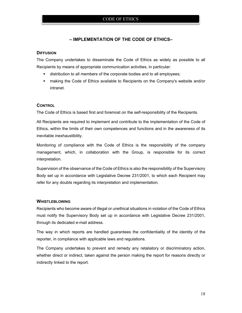# **– IMPLEMENTATION OF THE CODE OF ETHICS–**

#### **DIFFUSION**

The Company undertakes to disseminate the Code of Ethics as widely as possible to all Recipients by means of appropriate communication activities, in particular:

- distribution to all members of the corporate bodies and to all employees;
- making the Code of Ethics available to Recipients on the Company's website and/or intranet.

#### **CONTROL**

The Code of Ethics is based first and foremost on the self-responsibility of the Recipients.

All Recipients are required to implement and contribute to the implementation of the Code of Ethics, within the limits of their own competences and functions and in the awareness of its inevitable inexhaustibility.

Monitoring of compliance with the Code of Ethics is the responsibility of the company management, which, in collaboration with the Group, is responsible for its correct interpretation.

Supervision of the observance of the Code of Ethics is also the responsibility of the Supervisory Body set up in accordance with Legislative Decree 231/2001, to which each Recipient may refer for any doubts regarding its interpretation and implementation.

#### **WHISTLEBLOWING**

Recipients who become aware of illegal or unethical situations in violation of the Code of Ethics must notify the Supervisory Body set up in accordance with Legislative Decree 231/2001, through its dedicated e-mail address.

The way in which reports are handled guarantees the confidentiality of the identity of the reporter, in compliance with applicable laws and regulations.

The Company undertakes to prevent and remedy any retaliatory or discriminatory action, whether direct or indirect, taken against the person making the report for reasons directly or indirectly linked to the report.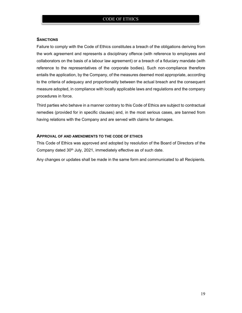# **SANCTIONS**

Failure to comply with the Code of Ethics constitutes a breach of the obligations deriving from the work agreement and represents a disciplinary offence (with reference to employees and collaborators on the basis of a labour law agreement) or a breach of a fiduciary mandate (with reference to the representatives of the corporate bodies). Such non-compliance therefore entails the application, by the Company, of the measures deemed most appropriate, according to the criteria of adequacy and proportionality between the actual breach and the consequent measure adopted, in compliance with locally applicable laws and regulations and the company procedures in force.

Third parties who behave in a manner contrary to this Code of Ethics are subject to contractual remedies (provided for in specific clauses) and, in the most serious cases, are banned from having relations with the Company and are served with claims for damages.

#### **APPROVAL OF AND AMENDMENTS TO THE CODE OF ETHICS**

This Code of Ethics was approved and adopted by resolution of the Board of Directors of the Company dated 30<sup>th</sup> July, 2021, immediately effective as of such date.

Any changes or updates shall be made in the same form and communicated to all Recipients.